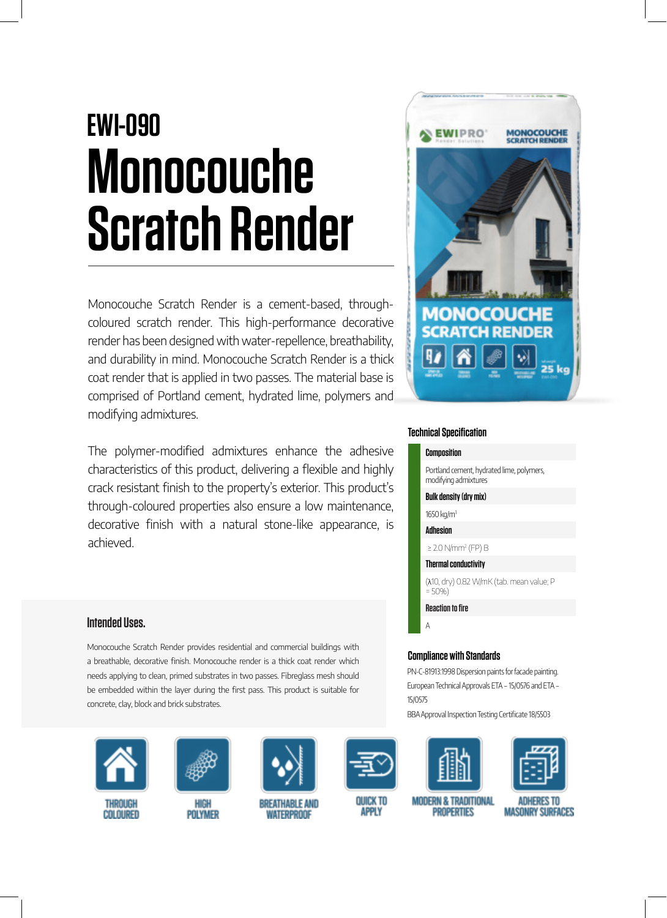# **EWI-090 Monocouche Scratch Render**

Monocouche Scratch Render is a cement-based, throughcoloured scratch render. This high-performance decorative render has been designed with water-repellence, breathability, and durability in mind. Monocouche Scratch Render is a thick coat render that is applied in two passes. The material base is comprised of Portland cement, hydrated lime, polymers and modifying admixtures.

The polymer-modified admixtures enhance the adhesive characteristics of this product, delivering a flexible and highly crack resistant finish to the property's exterior. This product's through-coloured properties also ensure a low maintenance, decorative finish with a natural stone-like appearance, is achieved.

# **Intended Uses.**

Monocouche Scratch Render provides residential and commercial buildings with a breathable, decorative finish. Monocouche render is a thick coat render which needs applying to clean, primed substrates in two passes. Fibreglass mesh should be embedded within the layer during the first pass. This product is suitable for concrete, clay, block and brick substrates.



**THROUGH COLOURED** 



HIGH

**POLYMER** 



**BREATHABLE AND WATERPROOF** 



ouick to **APPLY** 



## **Technical Specification**

#### **Composition**

Portland cement, hydrated lime, polymers, modifying admixtures

#### **Bulk density (dry mix)**

1650 kg/m<sup>3</sup> **Adhesion**

≥ 2.0 N/mm<sup>2</sup> (FP) B

**Thermal conductivity**

(λ10, dry) 0.82 W/mK (tab. mean value; P  $= 50%$ 

**Reaction to fire**

A

### **Compliance with Standards**

PN-C-81913:1998 Dispersion paints for facade painting. European Technical Approvals ETA – 15/0576 and ETA – 15/0575

BBA Approval Inspection Testing Certificate 18/5503



**MODERN & TRADITIONAL** 

**PROPERTIES** 



ADHERES TO **MASONRY SURFACES**